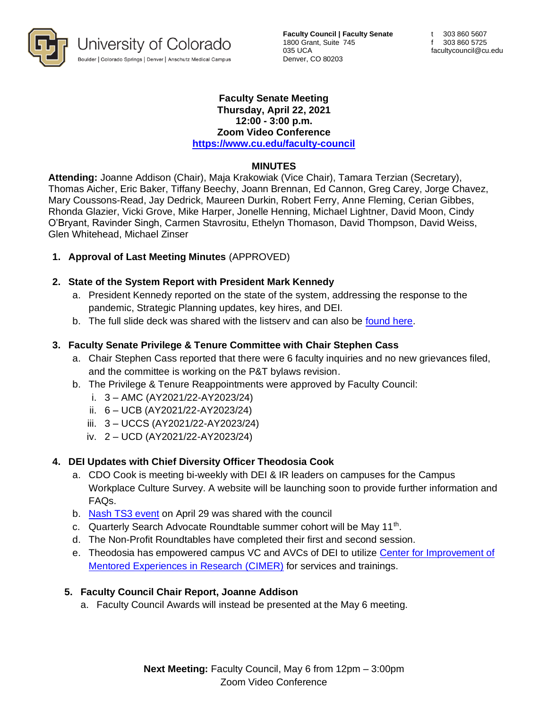

**Faculty Council | Faculty Senate** 1800 Grant, Suite 745 035 UCA Denver, CO 80203

#### **Faculty Senate Meeting Thursday, April 22, 2021 12:00 - 3:00 p.m. Zoom Video Conference <https://www.cu.edu/faculty-council>**

#### **MINUTES**

**Attending:** Joanne Addison (Chair), Maja Krakowiak (Vice Chair), Tamara Terzian (Secretary), Thomas Aicher, Eric Baker, Tiffany Beechy, Joann Brennan, Ed Cannon, Greg Carey, Jorge Chavez, Mary Coussons-Read, Jay Dedrick, Maureen Durkin, Robert Ferry, Anne Fleming, Cerian Gibbes, Rhonda Glazier, Vicki Grove, Mike Harper, Jonelle Henning, Michael Lightner, David Moon, Cindy O'Bryant, Ravinder Singh, Carmen Stavrositu, Ethelyn Thomason, David Thompson, David Weiss, Glen Whitehead, Michael Zinser

### **1. Approval of Last Meeting Minutes** (APPROVED)

### **2. State of the System Report with President Mark Kennedy**

- a. President Kennedy reported on the state of the system, addressing the response to the pandemic, Strategic Planning updates, key hires, and DEI.
- b. The full slide deck was shared with the listserv and can also be [found here.](https://president.cu.edu/statements/state-system-report)

### **3. Faculty Senate Privilege & Tenure Committee with Chair Stephen Cass**

- a. Chair Stephen Cass reported that there were 6 faculty inquiries and no new grievances filed, and the committee is working on the P&T bylaws revision.
- b. The Privilege & Tenure Reappointments were approved by Faculty Council:
	- i. 3 AMC (AY2021/22-AY2023/24)
	- ii. 6 UCB (AY2021/22-AY2023/24)
	- iii. 3 UCCS (AY2021/22-AY2023/24)
	- iv. 2 UCD (AY2021/22-AY2023/24)

#### **4. DEI Updates with Chief Diversity Officer Theodosia Cook**

- a. CDO Cook is meeting bi-weekly with DEI & IR leaders on campuses for the Campus Workplace Culture Survey. A website will be launching soon to provide further information and FAQs.
- b. [Nash TS3 event](https://ts3.nashonline.org/upcoming-events/) on April 29 was shared with the council
- c. Quarterly Search Advocate Roundtable summer cohort will be May 11<sup>th</sup>.
- d. The Non-Profit Roundtables have completed their first and second session.
- e. Theodosia has empowered campus VC and AVCs of DEI to utilize [Center for Improvement of](https://cimerproject.org/)  [Mentored Experiences in Research](https://cimerproject.org/) (CIMER) for services and trainings.

#### **5. Faculty Council Chair Report, Joanne Addison**

a. Faculty Council Awards will instead be presented at the May 6 meeting.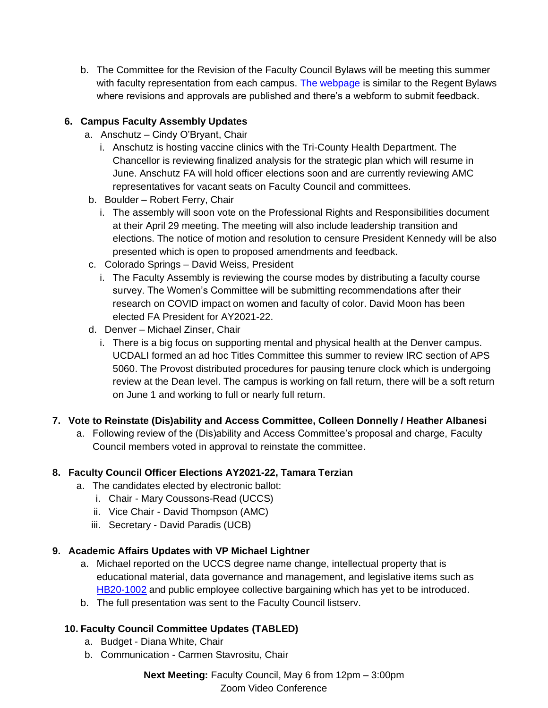b. The Committee for the Revision of the Faculty Council Bylaws will be meeting this summer with faculty representation from each campus. [The webpage](https://www.cu.edu/faculty-council/committees/committee-revision-faculty-council-bylaws) is similar to the Regent Bylaws where revisions and approvals are published and there's a webform to submit feedback.

# **6. Campus Faculty Assembly Updates**

- a. Anschutz Cindy O'Bryant, Chair
	- i. Anschutz is hosting vaccine clinics with the Tri-County Health Department. The Chancellor is reviewing finalized analysis for the strategic plan which will resume in June. Anschutz FA will hold officer elections soon and are currently reviewing AMC representatives for vacant seats on Faculty Council and committees.
- b. Boulder Robert Ferry, Chair
	- i. The assembly will soon vote on the Professional Rights and Responsibilities document at their April 29 meeting. The meeting will also include leadership transition and elections. The notice of motion and resolution to censure President Kennedy will be also presented which is open to proposed amendments and feedback.
- c. Colorado Springs David Weiss, President
	- i. The Faculty Assembly is reviewing the course modes by distributing a faculty course survey. The Women's Committee will be submitting recommendations after their research on COVID impact on women and faculty of color. David Moon has been elected FA President for AY2021-22.
- d. Denver Michael Zinser, Chair
	- i. There is a big focus on supporting mental and physical health at the Denver campus. UCDALI formed an ad hoc Titles Committee this summer to review IRC section of APS 5060. The Provost distributed procedures for pausing tenure clock which is undergoing review at the Dean level. The campus is working on fall return, there will be a soft return on June 1 and working to full or nearly full return.

# **7. Vote to Reinstate (Dis)ability and Access Committee, Colleen Donnelly / Heather Albanesi**

a. Following review of the (Dis)ability and Access Committee's proposal and charge, Faculty Council members voted in approval to reinstate the committee.

# **8. Faculty Council Officer Elections AY2021-22, Tamara Terzian**

- a. The candidates elected by electronic ballot:
	- i. Chair Mary Coussons-Read (UCCS)
	- ii. Vice Chair David Thompson (AMC)
	- iii. Secretary David Paradis (UCB)

# **9. Academic Affairs Updates with VP Michael Lightner**

- a. Michael reported on the UCCS degree name change, intellectual property that is educational material, data governance and management, and legislative items such as [HB20-1002](https://leg.colorado.gov/bills/hb20-1002) and public employee collective bargaining which has yet to be introduced.
- b. The full presentation was sent to the Faculty Council listserv.

# **10. Faculty Council Committee Updates (TABLED)**

- a. Budget Diana White, Chair
- b. Communication Carmen Stavrositu, Chair

**Next Meeting:** Faculty Council, May 6 from 12pm – 3:00pm Zoom Video Conference